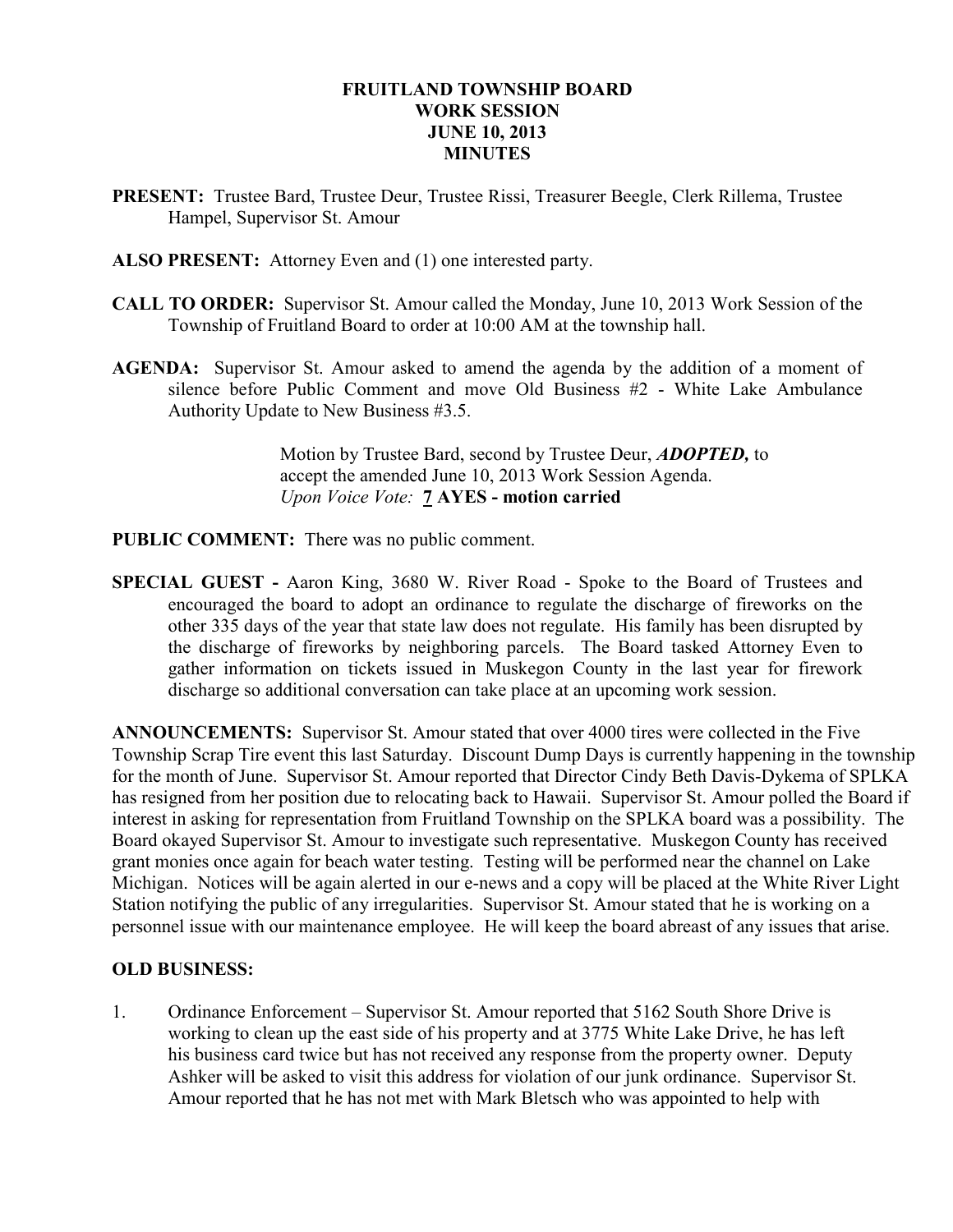## FRUITLAND TOWNSHIP BOARD WORK SESSION JUNE 10, 2013 **MINUTES**

- PRESENT: Trustee Bard, Trustee Deur, Trustee Rissi, Treasurer Beegle, Clerk Rillema, Trustee Hampel, Supervisor St. Amour
- ALSO PRESENT: Attorney Even and (1) one interested party.
- CALL TO ORDER: Supervisor St. Amour called the Monday, June 10, 2013 Work Session of the Township of Fruitland Board to order at 10:00 AM at the township hall.
- AGENDA: Supervisor St. Amour asked to amend the agenda by the addition of a moment of silence before Public Comment and move Old Business #2 - White Lake Ambulance Authority Update to New Business #3.5.

 Motion by Trustee Bard, second by Trustee Deur, ADOPTED, to accept the amended June 10, 2013 Work Session Agenda. Upon Voice Vote: 7 AYES - motion carried

- PUBLIC COMMENT: There was no public comment.
- SPECIAL GUEST Aaron King, 3680 W. River Road Spoke to the Board of Trustees and encouraged the board to adopt an ordinance to regulate the discharge of fireworks on the other 335 days of the year that state law does not regulate. His family has been disrupted by the discharge of fireworks by neighboring parcels. The Board tasked Attorney Even to gather information on tickets issued in Muskegon County in the last year for firework discharge so additional conversation can take place at an upcoming work session.

ANNOUNCEMENTS: Supervisor St. Amour stated that over 4000 tires were collected in the Five Township Scrap Tire event this last Saturday. Discount Dump Days is currently happening in the township for the month of June. Supervisor St. Amour reported that Director Cindy Beth Davis-Dykema of SPLKA has resigned from her position due to relocating back to Hawaii. Supervisor St. Amour polled the Board if interest in asking for representation from Fruitland Township on the SPLKA board was a possibility. The Board okayed Supervisor St. Amour to investigate such representative. Muskegon County has received grant monies once again for beach water testing. Testing will be performed near the channel on Lake Michigan. Notices will be again alerted in our e-news and a copy will be placed at the White River Light Station notifying the public of any irregularities. Supervisor St. Amour stated that he is working on a personnel issue with our maintenance employee. He will keep the board abreast of any issues that arise.

# OLD BUSINESS:

1. Ordinance Enforcement – Supervisor St. Amour reported that 5162 South Shore Drive is working to clean up the east side of his property and at 3775 White Lake Drive, he has left his business card twice but has not received any response from the property owner. Deputy Ashker will be asked to visit this address for violation of our junk ordinance. Supervisor St. Amour reported that he has not met with Mark Bletsch who was appointed to help with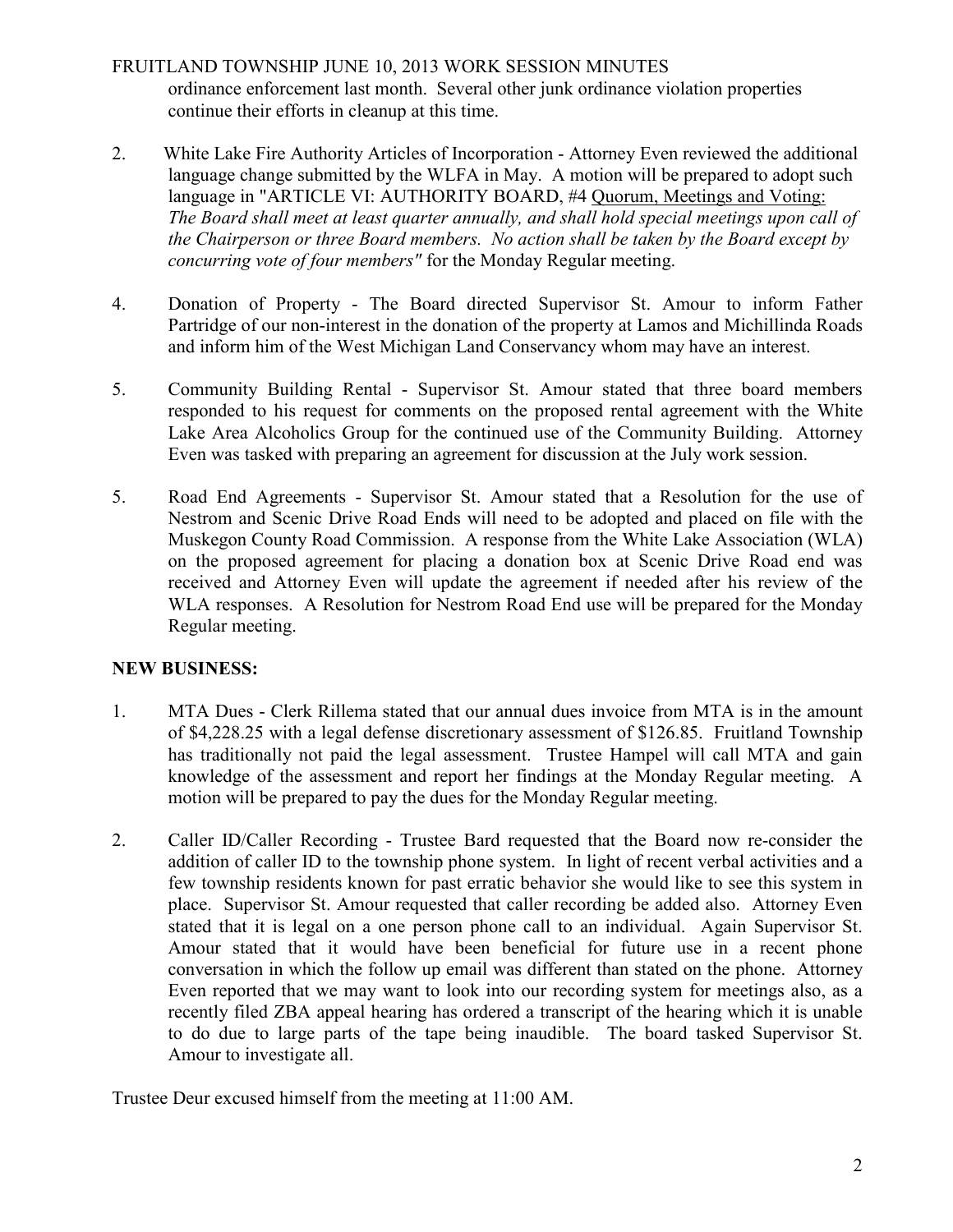# FRUITLAND TOWNSHIP JUNE 10, 2013 WORK SESSION MINUTES ordinance enforcement last month. Several other junk ordinance violation properties continue their efforts in cleanup at this time.

- 2. White Lake Fire Authority Articles of Incorporation Attorney Even reviewed the additional language change submitted by the WLFA in May. A motion will be prepared to adopt such language in "ARTICLE VI: AUTHORITY BOARD, #4 Quorum, Meetings and Voting: The Board shall meet at least quarter annually, and shall hold special meetings upon call of the Chairperson or three Board members. No action shall be taken by the Board except by concurring vote of four members" for the Monday Regular meeting.
- 4. Donation of Property The Board directed Supervisor St. Amour to inform Father Partridge of our non-interest in the donation of the property at Lamos and Michillinda Roads and inform him of the West Michigan Land Conservancy whom may have an interest.
- 5. Community Building Rental Supervisor St. Amour stated that three board members responded to his request for comments on the proposed rental agreement with the White Lake Area Alcoholics Group for the continued use of the Community Building. Attorney Even was tasked with preparing an agreement for discussion at the July work session.
- 5. Road End Agreements Supervisor St. Amour stated that a Resolution for the use of Nestrom and Scenic Drive Road Ends will need to be adopted and placed on file with the Muskegon County Road Commission. A response from the White Lake Association (WLA) on the proposed agreement for placing a donation box at Scenic Drive Road end was received and Attorney Even will update the agreement if needed after his review of the WLA responses. A Resolution for Nestrom Road End use will be prepared for the Monday Regular meeting.

# NEW BUSINESS:

- 1. MTA Dues Clerk Rillema stated that our annual dues invoice from MTA is in the amount of \$4,228.25 with a legal defense discretionary assessment of \$126.85. Fruitland Township has traditionally not paid the legal assessment. Trustee Hampel will call MTA and gain knowledge of the assessment and report her findings at the Monday Regular meeting. A motion will be prepared to pay the dues for the Monday Regular meeting.
- 2. Caller ID/Caller Recording Trustee Bard requested that the Board now re-consider the addition of caller ID to the township phone system. In light of recent verbal activities and a few township residents known for past erratic behavior she would like to see this system in place. Supervisor St. Amour requested that caller recording be added also. Attorney Even stated that it is legal on a one person phone call to an individual. Again Supervisor St. Amour stated that it would have been beneficial for future use in a recent phone conversation in which the follow up email was different than stated on the phone. Attorney Even reported that we may want to look into our recording system for meetings also, as a recently filed ZBA appeal hearing has ordered a transcript of the hearing which it is unable to do due to large parts of the tape being inaudible. The board tasked Supervisor St. Amour to investigate all.

Trustee Deur excused himself from the meeting at 11:00 AM.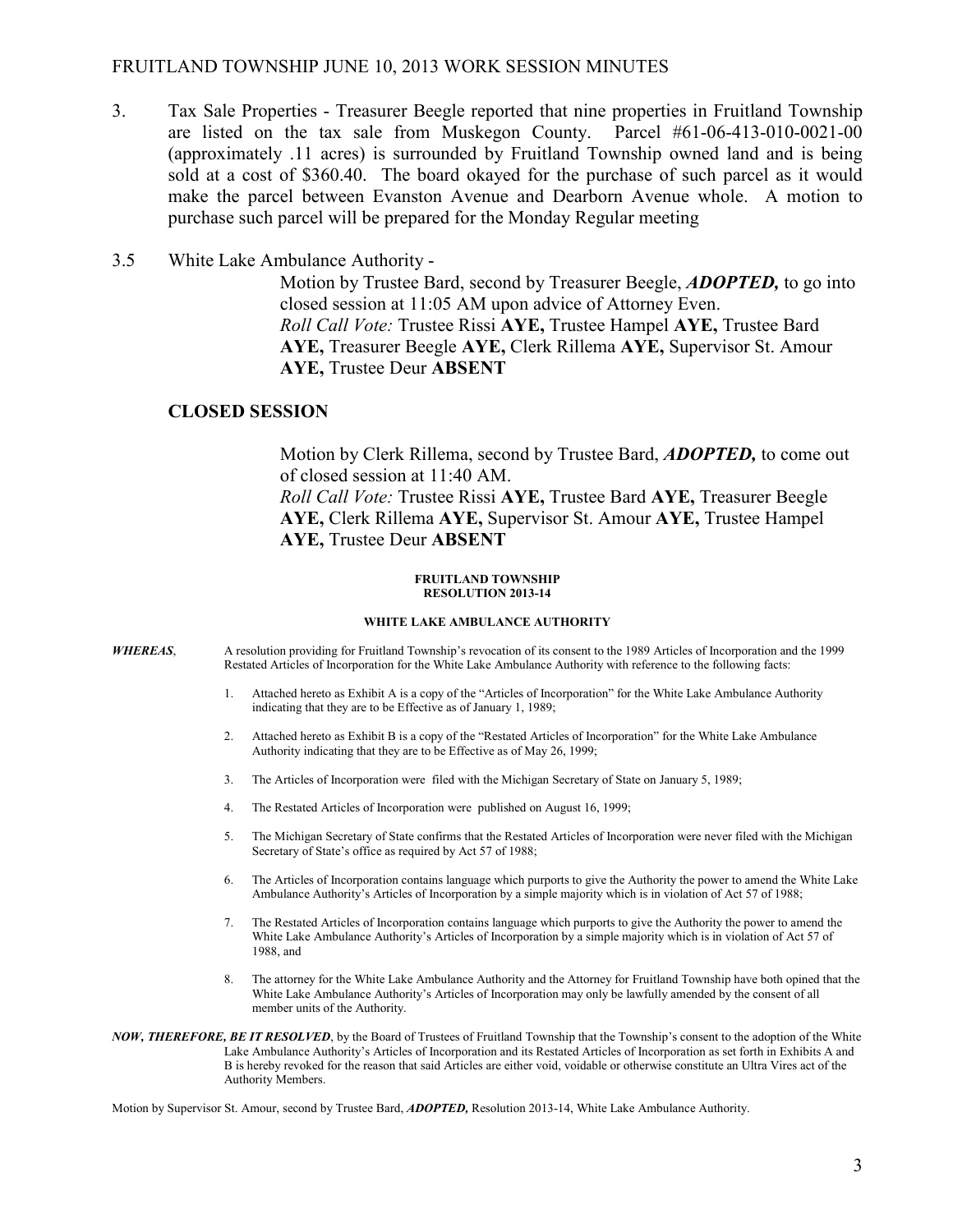## FRUITLAND TOWNSHIP JUNE 10, 2013 WORK SESSION MINUTES

- 3. Tax Sale Properties Treasurer Beegle reported that nine properties in Fruitland Township are listed on the tax sale from Muskegon County. Parcel #61-06-413-010-0021-00 (approximately .11 acres) is surrounded by Fruitland Township owned land and is being sold at a cost of \$360.40. The board okayed for the purchase of such parcel as it would make the parcel between Evanston Avenue and Dearborn Avenue whole. A motion to purchase such parcel will be prepared for the Monday Regular meeting
- 3.5 White Lake Ambulance Authority -

Motion by Trustee Bard, second by Treasurer Beegle, **ADOPTED**, to go into closed session at 11:05 AM upon advice of Attorney Even. Roll Call Vote: Trustee Rissi AYE, Trustee Hampel AYE, Trustee Bard AYE, Treasurer Beegle AYE, Clerk Rillema AYE, Supervisor St. Amour AYE, Trustee Deur ABSENT

### CLOSED SESSION

 Motion by Clerk Rillema, second by Trustee Bard, ADOPTED, to come out of closed session at 11:40 AM. Roll Call Vote: Trustee Rissi AYE, Trustee Bard AYE, Treasurer Beegle AYE, Clerk Rillema AYE, Supervisor St. Amour AYE, Trustee Hampel

#### FRUITLAND TOWNSHIP RESOLUTION 2013-14

### WHITE LAKE AMBULANCE AUTHORITY

- WHEREAS, A resolution providing for Fruitland Township's revocation of its consent to the 1989 Articles of Incorporation and the 1999 Restated Articles of Incorporation for the White Lake Ambulance Authority with reference to the following facts:
	- 1. Attached hereto as Exhibit A is a copy of the "Articles of Incorporation" for the White Lake Ambulance Authority indicating that they are to be Effective as of January 1, 1989;
	- 2. Attached hereto as Exhibit B is a copy of the "Restated Articles of Incorporation" for the White Lake Ambulance Authority indicating that they are to be Effective as of May 26, 1999;
	- 3. The Articles of Incorporation were filed with the Michigan Secretary of State on January 5, 1989;
	- 4. The Restated Articles of Incorporation were published on August 16, 1999;

AYE, Trustee Deur ABSENT

- 5. The Michigan Secretary of State confirms that the Restated Articles of Incorporation were never filed with the Michigan Secretary of State's office as required by Act 57 of 1988;
- 6. The Articles of Incorporation contains language which purports to give the Authority the power to amend the White Lake Ambulance Authority's Articles of Incorporation by a simple majority which is in violation of Act 57 of 1988;
- 7. The Restated Articles of Incorporation contains language which purports to give the Authority the power to amend the White Lake Ambulance Authority's Articles of Incorporation by a simple majority which is in violation of Act 57 of 1988, and
- 8. The attorney for the White Lake Ambulance Authority and the Attorney for Fruitland Township have both opined that the White Lake Ambulance Authority's Articles of Incorporation may only be lawfully amended by the consent of all member units of the Authority.
- NOW, THEREFORE, BE IT RESOLVED, by the Board of Trustees of Fruitland Township that the Township's consent to the adoption of the White Lake Ambulance Authority's Articles of Incorporation and its Restated Articles of Incorporation as set forth in Exhibits A and B is hereby revoked for the reason that said Articles are either void, voidable or otherwise constitute an Ultra Vires act of the Authority Members.

Motion by Supervisor St. Amour, second by Trustee Bard, ADOPTED, Resolution 2013-14, White Lake Ambulance Authority.